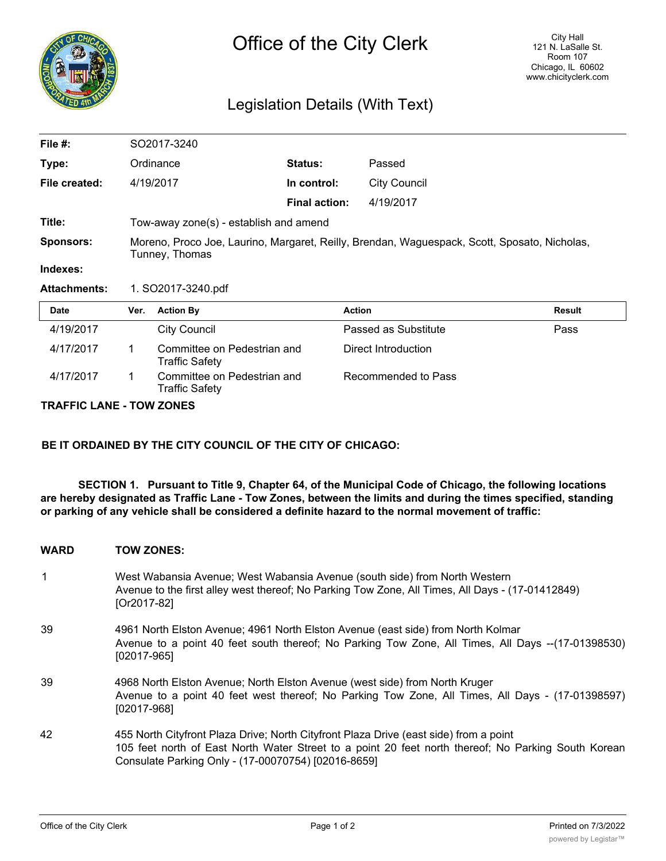

# Legislation Details (With Text)

| File #:             | SO2017-3240                                                                                                    |                                                      |                      |                      |               |
|---------------------|----------------------------------------------------------------------------------------------------------------|------------------------------------------------------|----------------------|----------------------|---------------|
| Type:               |                                                                                                                | Ordinance                                            | Status:              | Passed               |               |
| File created:       |                                                                                                                | 4/19/2017                                            | In control:          | <b>City Council</b>  |               |
|                     |                                                                                                                |                                                      | <b>Final action:</b> | 4/19/2017            |               |
| Title:              | Tow-away zone(s) - establish and amend                                                                         |                                                      |                      |                      |               |
| <b>Sponsors:</b>    | Moreno, Proco Joe, Laurino, Margaret, Reilly, Brendan, Waguespack, Scott, Sposato, Nicholas,<br>Tunney, Thomas |                                                      |                      |                      |               |
| Indexes:            |                                                                                                                |                                                      |                      |                      |               |
| <b>Attachments:</b> | 1. SO2017-3240.pdf                                                                                             |                                                      |                      |                      |               |
| <b>Date</b>         | Ver.                                                                                                           | <b>Action By</b>                                     |                      | <b>Action</b>        | <b>Result</b> |
| 4/19/2017           |                                                                                                                | <b>City Council</b>                                  |                      | Passed as Substitute | Pass          |
| 4/17/2017           | 1                                                                                                              | Committee on Pedestrian and<br><b>Traffic Safety</b> |                      | Direct Introduction  |               |
| 4/17/2017           |                                                                                                                | Committee on Pedestrian and<br>Traffic Safety        |                      | Recommended to Pass  |               |

#### **TRAFFIC LANE - TOW ZONES**

**BE IT ORDAINED BY THE CITY COUNCIL OF THE CITY OF CHICAGO:**

**SECTION 1. Pursuant to Title 9, Chapter 64, of the Municipal Code of Chicago, the following locations are hereby designated as Traffic Lane - Tow Zones, between the limits and during the times specified, standing or parking of any vehicle shall be considered a definite hazard to the normal movement of traffic:**

### **WARD TOW ZONES:**

- 1 West Wabansia Avenue; West Wabansia Avenue (south side) from North Western Avenue to the first alley west thereof; No Parking Tow Zone, All Times, All Days - (17-01412849) [Or2017-82]
- 39 4961 North Elston Avenue; 4961 North Elston Avenue (east side) from North Kolmar Avenue to a point 40 feet south thereof; No Parking Tow Zone, All Times, All Days --(17-01398530) [02017-965]
- 39 4968 North Elston Avenue; North Elston Avenue (west side) from North Kruger Avenue to a point 40 feet west thereof; No Parking Tow Zone, All Times, All Days - (17-01398597) [02017-968]
- 42 455 North Cityfront Plaza Drive; North Cityfront Plaza Drive (east side) from a point 105 feet north of East North Water Street to a point 20 feet north thereof; No Parking South Korean Consulate Parking Only - (17-00070754) [02016-8659]